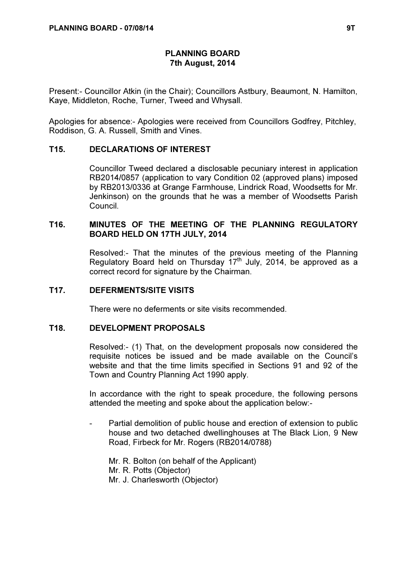# PLANNING BOARD 7th August, 2014

Present:- Councillor Atkin (in the Chair); Councillors Astbury, Beaumont, N. Hamilton, Kaye, Middleton, Roche, Turner, Tweed and Whysall.

Apologies for absence:- Apologies were received from Councillors Godfrey, Pitchley, Roddison, G. A. Russell, Smith and Vines.

### T15. DECLARATIONS OF INTEREST

 Councillor Tweed declared a disclosable pecuniary interest in application RB2014/0857 (application to vary Condition 02 (approved plans) imposed by RB2013/0336 at Grange Farmhouse, Lindrick Road, Woodsetts for Mr. Jenkinson) on the grounds that he was a member of Woodsetts Parish Council.

## T16. MINUTES OF THE MEETING OF THE PLANNING REGULATORY BOARD HELD ON 17TH JULY, 2014

 Resolved:- That the minutes of the previous meeting of the Planning Regulatory Board held on Thursday  $17<sup>th</sup>$  July, 2014, be approved as a correct record for signature by the Chairman.

### T17. DEFERMENTS/SITE VISITS

There were no deferments or site visits recommended.

#### T18. DEVELOPMENT PROPOSALS

 Resolved:- (1) That, on the development proposals now considered the requisite notices be issued and be made available on the Council's website and that the time limits specified in Sections 91 and 92 of the Town and Country Planning Act 1990 apply.

In accordance with the right to speak procedure, the following persons attended the meeting and spoke about the application below:-

Partial demolition of public house and erection of extension to public house and two detached dwellinghouses at The Black Lion, 9 New Road, Firbeck for Mr. Rogers (RB2014/0788)

Mr. R. Bolton (on behalf of the Applicant) Mr. R. Potts (Objector) Mr. J. Charlesworth (Objector)